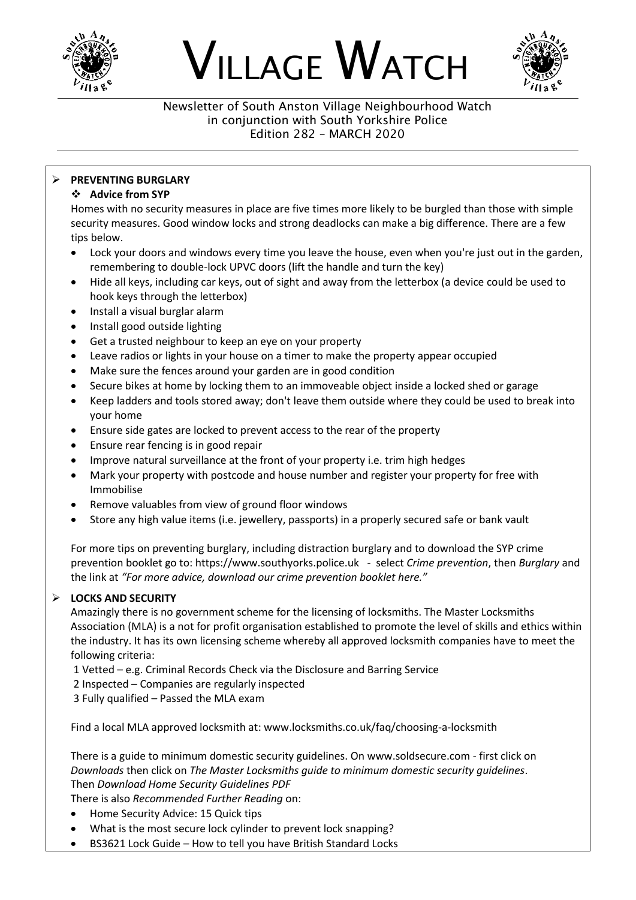

# VILLAGE WATCH



#### Newsletter of South Anston Village Neighbourhood Watch in conjunction with South Yorkshire Police Edition 282 – MARCH 2020

# ➢ **PREVENTING BURGLARY**

# ❖ **Advice from SYP**

Homes with no security measures in place are five times more likely to be burgled than those with simple security measures. Good window locks and strong deadlocks can make a big difference. There are a few tips below.

- Lock your doors and windows every time you leave the house, even when you're just out in the garden, remembering to double-lock UPVC doors (lift the handle and turn the key)
- Hide all keys, including car keys, out of sight and away from the letterbox (a device could be used to hook keys through the letterbox)
- Install a visual burglar alarm
- Install good outside lighting
- Get a trusted neighbour to keep an eye on your property
- Leave radios or lights in your house on a timer to make the property appear occupied
- Make sure the fences around your garden are in good condition
- Secure bikes at home by locking them to an immoveable object inside a locked shed or garage
- Keep ladders and tools stored away; don't leave them outside where they could be used to break into your home
- Ensure side gates are locked to prevent access to the rear of the property
- Ensure rear fencing is in good repair
- Improve natural surveillance at the front of your property i.e. trim high hedges
- Mark your property with postcode and house number and register your property for free with Immobilise
- Remove valuables from view of ground floor windows
- Store any high value items (i.e. jewellery, passports) in a properly secured safe or bank vault

For more tips on preventing burglary, including distraction burglary and to download the SYP crime prevention booklet go to: https://www.southyorks.police.uk - select *Crime prevention*, then *Burglary* and the link at *"For more advice, download our crime prevention booklet here."*

# ➢ **LOCKS AND SECURITY**

Amazingly there is no government scheme for the licensing of locksmiths. The Master Locksmiths Association (MLA) is a not for profit organisation established to promote the level of skills and ethics within the industry. It has its own licensing scheme whereby all approved locksmith companies have to meet the following criteria:

1 Vetted – e.g. Criminal Records Check via the Disclosure and Barring Service

2 Inspected – Companies are regularly inspected

3 Fully qualified – Passed the MLA exam

Find a local MLA approved locksmith at: www.locksmiths.co.uk/faq/choosing-a-locksmith

There is a guide to minimum domestic security guidelines. On www.soldsecure.com - first click on *Downloads* then click on *The Master Locksmiths guide to minimum domestic security guidelines*. Then *Download Home Security Guidelines PDF*

There is also *Recommended Further Reading* on:

- Home Security Advice: 15 Quick tips
- What is the most secure lock cylinder to prevent lock snapping?
- BS3621 Lock Guide How to tell you have British Standard Locks